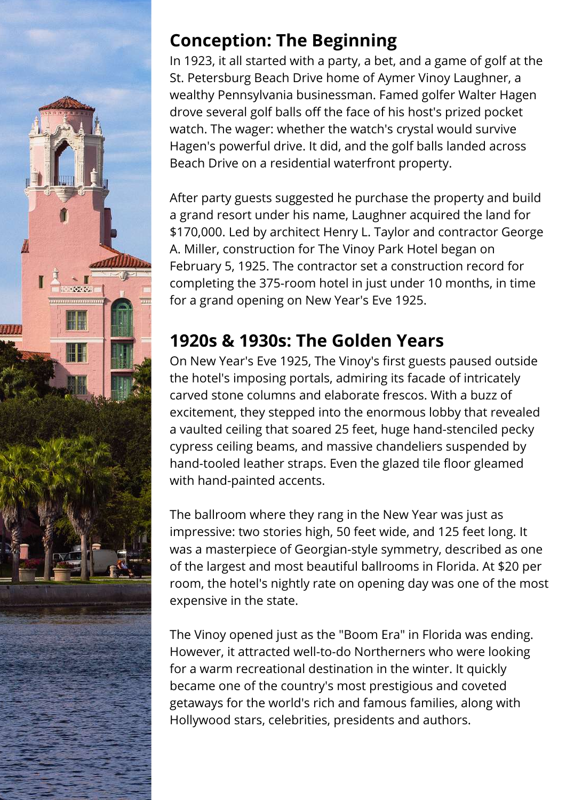

# **Conception: The Beginning**

In 1923, it all started with a party, a bet, and a game of golf at the St. Petersburg Beach Drive home of Aymer Vinoy Laughner, a wealthy Pennsylvania businessman. Famed golfer Walter Hagen drove several golf balls off the face of his host's prized pocket watch. The wager: whether the watch's crystal would survive Hagen's powerful drive. It did, and the golf balls landed across Beach Drive on a residential waterfront property.

After party guests suggested he purchase the property and build a grand resort under his name, Laughner acquired the land for \$170,000. Led by architect Henry L. Taylor and contractor George A. Miller, construction for The Vinoy Park Hotel began on February 5, 1925. The contractor set a construction record for completing the 375-room hotel in just under 10 months, in time for a grand opening on New Year's Eve 1925.

# **1920s & 1930s: The Golden Years**

On New Year's Eve 1925, The Vinoy's first guests paused outside the hotel's imposing portals, admiring its facade of intricately carved stone columns and elaborate frescos. With a buzz of excitement, they stepped into the enormous lobby that revealed a vaulted ceiling that soared 25 feet, huge hand-stenciled pecky cypress ceiling beams, and massive chandeliers suspended by hand-tooled leather straps. Even the glazed tile floor gleamed with hand-painted accents.

The ballroom where they rang in the New Year was just as impressive: two stories high, 50 feet wide, and 125 feet long. It was a masterpiece of Georgian-style symmetry, described as one of the largest and most beautiful ballrooms in Florida. At \$20 per room, the hotel's nightly rate on opening day was one of the most expensive in the state.

The Vinoy opened just as the "Boom Era" in Florida was ending. However, it attracted well-to-do Northerners who were looking for a warm recreational destination in the winter. It quickly became one of the country's most prestigious and coveted getaways for the world's rich and famous families, along with Hollywood stars, celebrities, presidents and authors.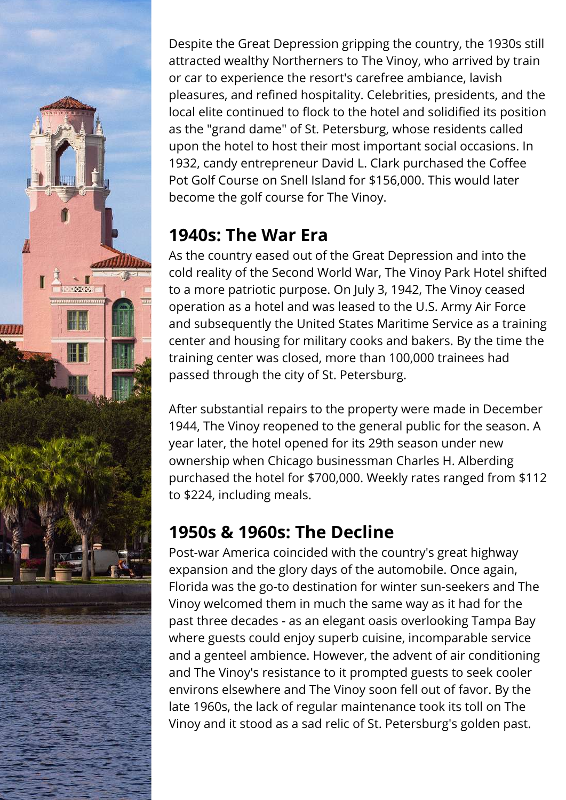Despite the Great Depression gripping the country, the 1930s still attracted wealthy Northerners to The Vinoy, who arrived by train or car to experience the resort's carefree ambiance, lavish pleasures, and refined hospitality. Celebrities, presidents, and the local elite continued to flock to the hotel and solidified its position as the "grand dame" of St. Petersburg, whose residents called upon the hotel to host their most important social occasions. In 1932, candy entrepreneur David L. Clark purchased the Coffee Pot Golf Course on Snell Island for \$156,000. This would later become the golf course for The Vinoy.

### **1940s: The War Era**

As the country eased out of the Great Depression and into the cold reality of the Second World War, The Vinoy Park Hotel shifted to a more patriotic purpose. On July 3, 1942, The Vinoy ceased operation as a hotel and was leased to the U.S. Army Air Force and subsequently the United States Maritime Service as a training center and housing for military cooks and bakers. By the time the training center was closed, more than 100,000 trainees had passed through the city of St. Petersburg.

After substantial repairs to the property were made in December 1944, The Vinoy reopened to the general public for the season. A year later, the hotel opened for its 29th season under new ownership when Chicago businessman Charles H. Alberding purchased the hotel for \$700,000. Weekly rates ranged from \$112 to \$224, including meals.

# **1950s & 1960s: The Decline**

Post-war America coincided with the country's great highway expansion and the glory days of the automobile. Once again, Florida was the go-to destination for winter sun-seekers and The Vinoy welcomed them in much the same way as it had for the past three decades - as an elegant oasis overlooking Tampa Bay where guests could enjoy superb cuisine, incomparable service and a genteel ambience. However, the advent of air conditioning and The Vinoy's resistance to it prompted guests to seek cooler environs elsewhere and The Vinoy soon fell out of favor. By the late 1960s, the lack of regular maintenance took its toll on The Vinoy and it stood as a sad relic of St. Petersburg's golden past.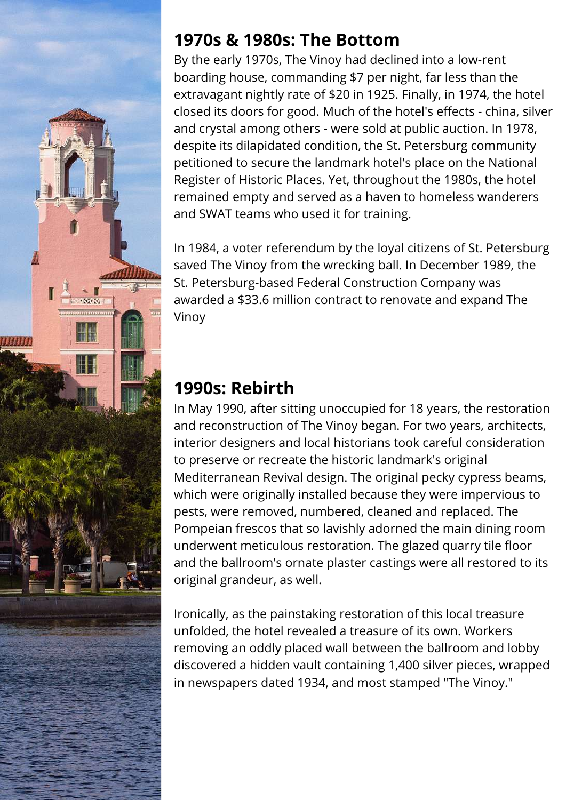

#### **1970s & 1980s: The Bottom**

By the early 1970s, The Vinoy had declined into a low-rent boarding house, commanding \$7 per night, far less than the extravagant nightly rate of \$20 in 1925. Finally, in 1974, the hotel closed its doors for good. Much of the hotel's effects - china, silver and crystal among others - were sold at public auction. In 1978, despite its dilapidated condition, the St. Petersburg community petitioned to secure the landmark hotel's place on the National Register of Historic Places. Yet, throughout the 1980s, the hotel remained empty and served as a haven to homeless wanderers and SWAT teams who used it for training.

In 1984, a voter referendum by the loyal citizens of St. Petersburg saved The Vinoy from the wrecking ball. In December 1989, the St. Petersburg-based Federal Construction Company was awarded a \$33.6 million contract to renovate and expand The Vinoy

### **1990s: Rebirth**

In May 1990, after sitting unoccupied for 18 years, the restoration and reconstruction of The Vinoy began. For two years, architects, interior designers and local historians took careful consideration to preserve or recreate the historic landmark's original Mediterranean Revival design. The original pecky cypress beams, which were originally installed because they were impervious to pests, were removed, numbered, cleaned and replaced. The Pompeian frescos that so lavishly adorned the main dining room underwent meticulous restoration. The glazed quarry tile floor and the ballroom's ornate plaster castings were all restored to its original grandeur, as well.

Ironically, as the painstaking restoration of this local treasure unfolded, the hotel revealed a treasure of its own. Workers removing an oddly placed wall between the ballroom and lobby discovered a hidden vault containing 1,400 silver pieces, wrapped in newspapers dated 1934, and most stamped "The Vinoy."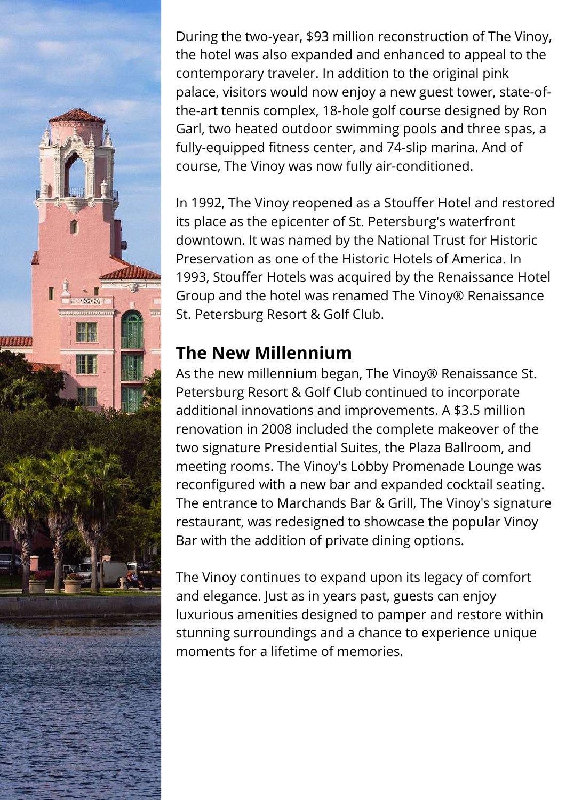During the two-year, \$93 million reconstruction of The Vinoy, the hotel was also expanded and enhanced to appeal to the contemporary traveler. In addition to the original pink palace, visitors would now enjoy a new guest tower, state-ofthe-art tennis complex, 18-hole golf course designed by Ron Garl, two heated outdoor swimming pools and three spas, a fully-equipped fitness center, and 74-slip marina. And of course, The Vinoy was now fully air-conditioned.

In 1992, The Vinoy reopened as a Stouffer Hotel and restored its place as the epicenter of St. Petersburg's waterfront downtown. It was named by the National Trust for Historic Preservation as one of the Historic Hotels of America. In 1993, Stouffer Hotels was acquired by the Renaissance Hotel Group and the hotel was renamed The Vinoy® Renaissance St. Petersburg Resort & Golf Club.

### **The New Millennium**

As the new millennium began, The Vinoy® Renaissance St. Petersburg Resort & Golf Club continued to incorporate additional innovations and improvements. A \$3.5 million renovation in 2008 included the complete makeover of the two signature Presidential Suites, the Plaza Ballroom, and meeting rooms. The Vinoy's Lobby Promenade Lounge was reconfigured with a new bar and expanded cocktail seating. The entrance to Marchands Bar & Grill, The Vinoy's signature restaurant, was redesigned to showcase the popular Vinoy Bar with the addition of private dining options.

The Vinoy continues to expand upon its legacy of comfort and elegance. Just as in years past, guests can enjoy luxurious amenities designed to pamper and restore within stunning surroundings and a chance to experience unique moments for a lifetime of memories.